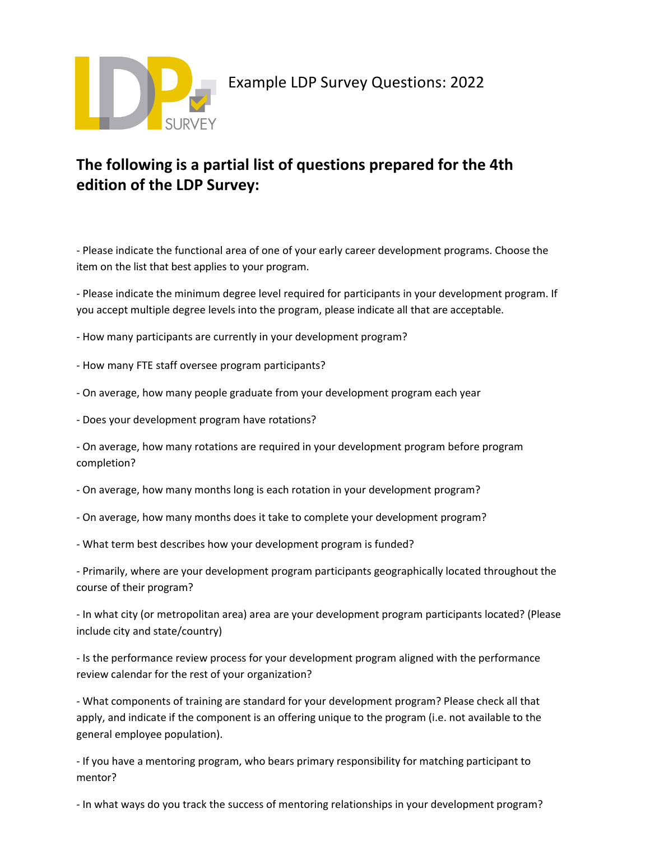

## **The following is a partial list of questions prepared for the 4th edition of the LDP Survey:**

- Please indicate the functional area of one of your early career development programs. Choose the item on the list that best applies to your program.

- Please indicate the minimum degree level required for participants in your development program. If you accept multiple degree levels into the program, please indicate all that are acceptable.

- How many participants are currently in your development program?

- How many FTE staff oversee program participants?
- On average, how many people graduate from your development program each year
- Does your development program have rotations?

- On average, how many rotations are required in your development program before program completion?

- On average, how many months long is each rotation in your development program?
- On average, how many months does it take to complete your development program?
- What term best describes how your development program is funded?

- Primarily, where are your development program participants geographically located throughout the course of their program?

- In what city (or metropolitan area) area are your development program participants located? (Please include city and state/country)

- Is the performance review process for your development program aligned with the performance review calendar for the rest of your organization?

- What components of training are standard for your development program? Please check all that apply, and indicate if the component is an offering unique to the program (i.e. not available to the general employee population).

- If you have a mentoring program, who bears primary responsibility for matching participant to mentor?

- In what ways do you track the success of mentoring relationships in your development program?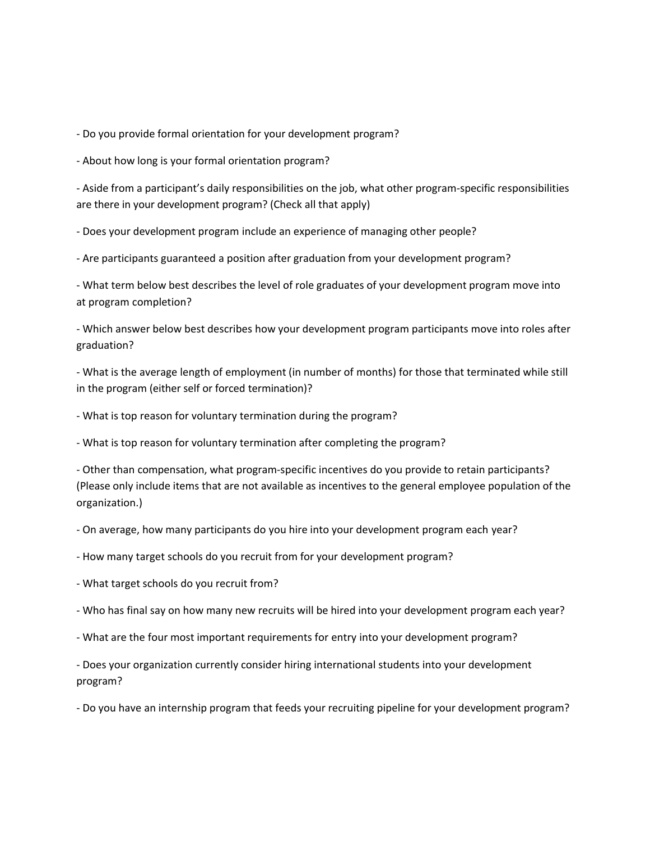- Do you provide formal orientation for your development program?

- About how long is your formal orientation program?

- Aside from a participant's daily responsibilities on the job, what other program-specific responsibilities are there in your development program? (Check all that apply)

- Does your development program include an experience of managing other people?

- Are participants guaranteed a position after graduation from your development program?

- What term below best describes the level of role graduates of your development program move into at program completion?

- Which answer below best describes how your development program participants move into roles after graduation?

- What is the average length of employment (in number of months) for those that terminated while still in the program (either self or forced termination)?

- What is top reason for voluntary termination during the program?

- What is top reason for voluntary termination after completing the program?

- Other than compensation, what program-specific incentives do you provide to retain participants? (Please only include items that are not available as incentives to the general employee population of the organization.)

- On average, how many participants do you hire into your development program each year?

- How many target schools do you recruit from for your development program?

- What target schools do you recruit from?
- Who has final say on how many new recruits will be hired into your development program each year?
- What are the four most important requirements for entry into your development program?

- Does your organization currently consider hiring international students into your development program?

- Do you have an internship program that feeds your recruiting pipeline for your development program?